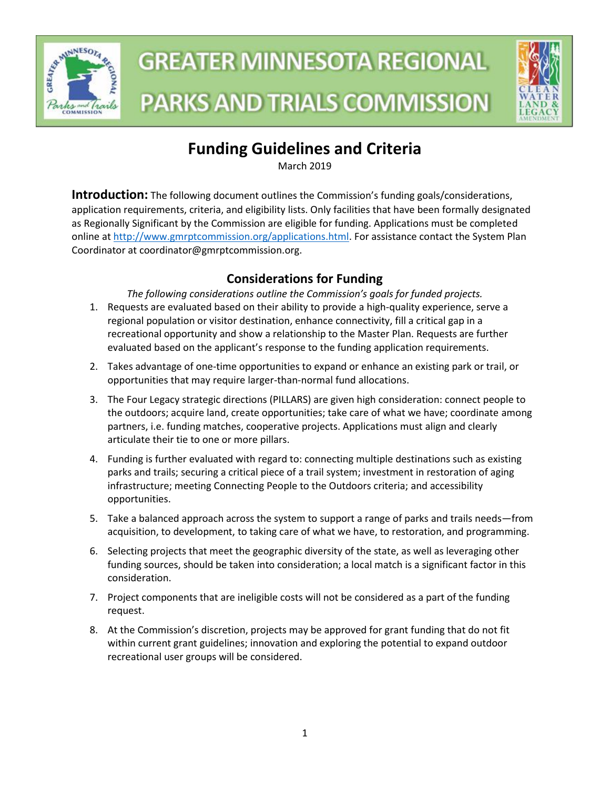

# **GREATER MINNESOTA REGIONAL PARKS AND TRIALS COMMISSION**



# **Funding Guidelines and Criteria**

March 2019

**Introduction:** The following document outlines the Commission's funding goals/considerations, application requirements, criteria, and eligibility lists. Only facilities that have been formally designated as Regionally Significant by the Commission are eligible for funding. Applications must be completed online at [http://www.gmrptcommission.org/applications.html.](http://www.gmrptcommission.org/applications.html) For assistance contact the System Plan Coordinator at coordinator@gmrptcommission.org.

# **Considerations for Funding**

- *The following considerations outline the Commission's goals for funded projects.* 1. Requests are evaluated based on their ability to provide a high-quality experience, serve a regional population or visitor destination, enhance connectivity, fill a critical gap in a recreational opportunity and show a relationship to the Master Plan. Requests are further evaluated based on the applicant's response to the funding application requirements.
- 2. Takes advantage of one-time opportunities to expand or enhance an existing park or trail, or opportunities that may require larger-than-normal fund allocations.
- 3. The Four Legacy strategic directions (PILLARS) are given high consideration: connect people to the outdoors; acquire land, create opportunities; take care of what we have; coordinate among partners, i.e. funding matches, cooperative projects. Applications must align and clearly articulate their tie to one or more pillars.
- 4. Funding is further evaluated with regard to: connecting multiple destinations such as existing parks and trails; securing a critical piece of a trail system; investment in restoration of aging infrastructure; meeting Connecting People to the Outdoors criteria; and accessibility opportunities.
- 5. Take a balanced approach across the system to support a range of parks and trails needs—from acquisition, to development, to taking care of what we have, to restoration, and programming.
- 6. Selecting projects that meet the geographic diversity of the state, as well as leveraging other funding sources, should be taken into consideration; a local match is a significant factor in this consideration.
- 7. Project components that are ineligible costs will not be considered as a part of the funding request.
- 8. At the Commission's discretion, projects may be approved for grant funding that do not fit within current grant guidelines; innovation and exploring the potential to expand outdoor recreational user groups will be considered.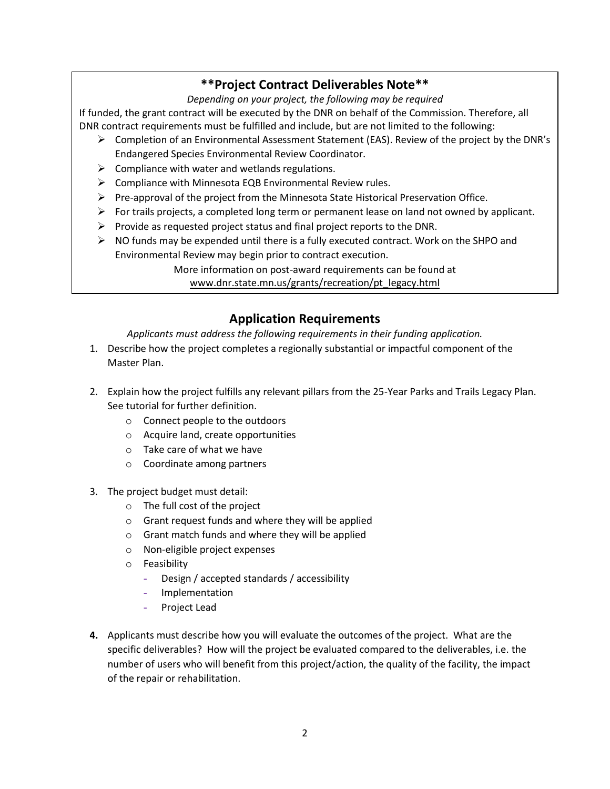# **\*\*Project Contract Deliverables Note\*\***

*Depending on your project, the following may be required*

If funded, the grant contract will be executed by the DNR on behalf of the Commission. Therefore, all DNR contract requirements must be fulfilled and include, but are not limited to the following:

- ➢ Completion of an Environmental Assessment Statement (EAS). Review of the project by the DNR's Endangered Species Environmental Review Coordinator.
- $\triangleright$  Compliance with water and wetlands regulations.
- $\triangleright$  Compliance with Minnesota EQB Environmental Review rules.
- $\triangleright$  Pre-approval of the project from the Minnesota State Historical Preservation Office.
- $\triangleright$  For trails projects, a completed long term or permanent lease on land not owned by applicant.
- $\triangleright$  Provide as requested project status and final project reports to the DNR.
- $\triangleright$  NO funds may be expended until there is a fully executed contract. Work on the SHPO and Environmental Review may begin prior to contract execution.

More information on post-award requirements can be found at [www.dnr.state.mn.us/grants/recreation/pt\\_legacy.html](http://www.dnr.state.mn.us/grants/recreation/pt_legacy.html)

# **Application Requirements**

*Applicants must address the following requirements in their funding application.*

- 1. Describe how the project completes a regionally substantial or impactful component of the Master Plan.
- 2. Explain how the project fulfills any relevant pillars from the 25-Year Parks and Trails Legacy Plan. See tutorial for further definition.
	- o Connect people to the outdoors
	- o Acquire land, create opportunities
	- o Take care of what we have
	- o Coordinate among partners
- 3. The project budget must detail:
	- o The full cost of the project
	- o Grant request funds and where they will be applied
	- o Grant match funds and where they will be applied
	- o Non-eligible project expenses
	- o Feasibility
		- Design / accepted standards / accessibility
		- Implementation
		- Project Lead
- **4.** Applicants must describe how you will evaluate the outcomes of the project. What are the specific deliverables? How will the project be evaluated compared to the deliverables, i.e. the number of users who will benefit from this project/action, the quality of the facility, the impact of the repair or rehabilitation.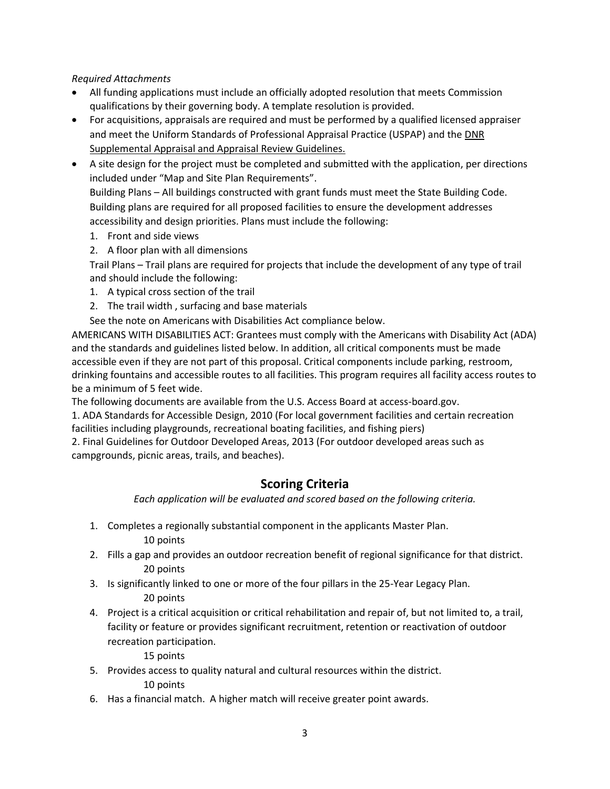*Required Attachments*

- All funding applications must include an officially adopted resolution that meets Commission qualifications by their governing body. A template resolution is provided.
- For acquisitions, appraisals are required and must be performed by a qualified licensed appraiser and meet the Uniform Standards of Professional Appraisal Practice (USPAP) and the DNR Supplemental Appraisal and Appraisal Review Guidelines.
- A site design for the project must be completed and submitted with the application, per directions included under "Map and Site Plan Requirements".

Building Plans – All buildings constructed with grant funds must meet the State Building Code. Building plans are required for all proposed facilities to ensure the development addresses accessibility and design priorities. Plans must include the following:

- 1. Front and side views
- 2. A floor plan with all dimensions

Trail Plans – Trail plans are required for projects that include the development of any type of trail and should include the following:

- 1. A typical cross section of the trail
- 2. The trail width , surfacing and base materials

See the note on Americans with Disabilities Act compliance below.

AMERICANS WITH DISABILITIES ACT: Grantees must comply with the Americans with Disability Act (ADA) and the standards and guidelines listed below. In addition, all critical components must be made accessible even if they are not part of this proposal. Critical components include parking, restroom, drinking fountains and accessible routes to all facilities. This program requires all facility access routes to be a minimum of 5 feet wide.

The following documents are available from the U.S. Access Board at access-board.gov.

1. ADA Standards for Accessible Design, 2010 (For local government facilities and certain recreation facilities including playgrounds, recreational boating facilities, and fishing piers)

2. Final Guidelines for Outdoor Developed Areas, 2013 (For outdoor developed areas such as campgrounds, picnic areas, trails, and beaches).

# **Scoring Criteria**

*Each application will be evaluated and scored based on the following criteria.*

- 1. Completes a regionally substantial component in the applicants Master Plan. 10 points
- 2. Fills a gap and provides an outdoor recreation benefit of regional significance for that district. 20 points
- 3. Is significantly linked to one or more of the four pillars in the 25-Year Legacy Plan. 20 points
- 4. Project is a critical acquisition or critical rehabilitation and repair of, but not limited to, a trail, facility or feature or provides significant recruitment, retention or reactivation of outdoor recreation participation.

15 points

- 5. Provides access to quality natural and cultural resources within the district. 10 points
- 6. Has a financial match. A higher match will receive greater point awards.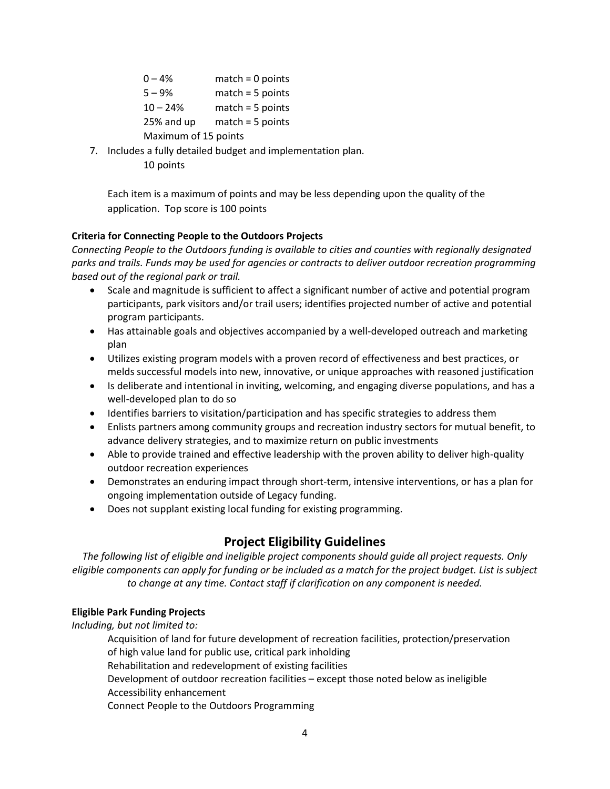| $0 - 4%$             | $match = 0 points$ |
|----------------------|--------------------|
| $5 - 9%$             | $match = 5 points$ |
| $10 - 24%$           | $match = 5 points$ |
| 25% and up           | $match = 5 points$ |
| Maximum of 15 points |                    |

7. Includes a fully detailed budget and implementation plan.

10 points

Each item is a maximum of points and may be less depending upon the quality of the application. Top score is 100 points

### **Criteria for Connecting People to the Outdoors Projects**

*Connecting People to the Outdoors funding is available to cities and counties with regionally designated parks and trails. Funds may be used for agencies or contracts to deliver outdoor recreation programming based out of the regional park or trail.*

- Scale and magnitude is sufficient to affect a significant number of active and potential program participants, park visitors and/or trail users; identifies projected number of active and potential program participants.
- Has attainable goals and objectives accompanied by a well-developed outreach and marketing plan
- Utilizes existing program models with a proven record of effectiveness and best practices, or melds successful models into new, innovative, or unique approaches with reasoned justification
- Is deliberate and intentional in inviting, welcoming, and engaging diverse populations, and has a well-developed plan to do so
- Identifies barriers to visitation/participation and has specific strategies to address them
- Enlists partners among community groups and recreation industry sectors for mutual benefit, to advance delivery strategies, and to maximize return on public investments
- Able to provide trained and effective leadership with the proven ability to deliver high-quality outdoor recreation experiences
- Demonstrates an enduring impact through short-term, intensive interventions, or has a plan for ongoing implementation outside of Legacy funding.
- Does not supplant existing local funding for existing programming.

# **Project Eligibility Guidelines**

*The following list of eligible and ineligible project components should guide all project requests. Only eligible components can apply for funding or be included as a match for the project budget. List is subject to change at any time. Contact staff if clarification on any component is needed.*

#### **Eligible Park Funding Projects**

*Including, but not limited to:*

Acquisition of land for future development of recreation facilities, protection/preservation of high value land for public use, critical park inholding

Rehabilitation and redevelopment of existing facilities

Development of outdoor recreation facilities – except those noted below as ineligible Accessibility enhancement

Connect People to the Outdoors Programming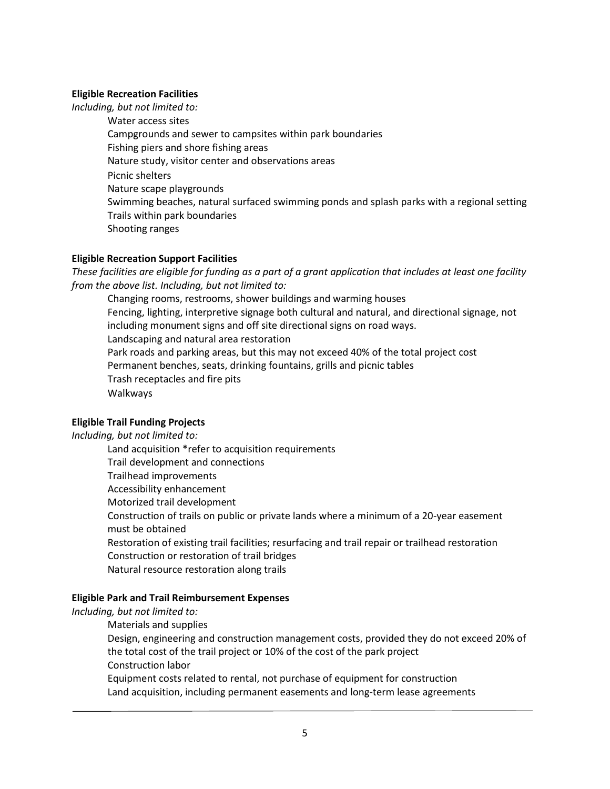### **Eligible Recreation Facilities**

*Including, but not limited to:*

Water access sites Campgrounds and sewer to campsites within park boundaries Fishing piers and shore fishing areas Nature study, visitor center and observations areas Picnic shelters Nature scape playgrounds Swimming beaches, natural surfaced swimming ponds and splash parks with a regional setting Trails within park boundaries Shooting ranges

### **Eligible Recreation Support Facilities**

*These facilities are eligible for funding as a part of a grant application that includes at least one facility from the above list. Including, but not limited to:*

Changing rooms, restrooms, shower buildings and warming houses Fencing, lighting, interpretive signage both cultural and natural, and directional signage, not including monument signs and off site directional signs on road ways. Landscaping and natural area restoration Park roads and parking areas, but this may not exceed 40% of the total project cost Permanent benches, seats, drinking fountains, grills and picnic tables Trash receptacles and fire pits Walkways

## **Eligible Trail Funding Projects**

*Including, but not limited to:*

Land acquisition \*refer to acquisition requirements Trail development and connections Trailhead improvements Accessibility enhancement Motorized trail development Construction of trails on public or private lands where a minimum of a 20-year easement must be obtained Restoration of existing trail facilities; resurfacing and trail repair or trailhead restoration Construction or restoration of trail bridges Natural resource restoration along trails

#### **Eligible Park and Trail Reimbursement Expenses**

*Including, but not limited to:*

Materials and supplies

Design, engineering and construction management costs, provided they do not exceed 20% of the total cost of the trail project or 10% of the cost of the park project Construction labor

Equipment costs related to rental, not purchase of equipment for construction Land acquisition, including permanent easements and long-term lease agreements